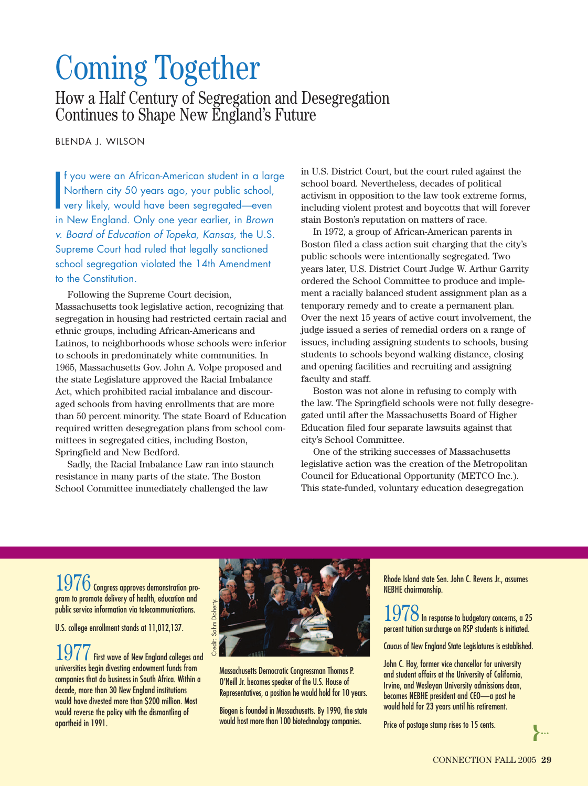## Coming Together

How a Half Century of Segregation and Desegregation Continues to Shape New England's Future

BLENDA J. WILSON

I f you were an African-American student in a large Northern city 50 years ago, your public school, very likely, would have been segregated—even in New England. Only one year earlier, in *Brown* f you were an African-American student in a large Northern city 50 years ago, your public school, very likely, would have been segregated—even *v. Board of Education of Topeka, Kansas,* the U.S. Supreme Court had ruled that legally sanctioned school segregation violated the 14th Amendment to the Constitution.

Following the Supreme Court decision, Massachusetts took legislative action, recognizing that segregation in housing had restricted certain racial and ethnic groups, including African-Americans and Latinos, to neighborhoods whose schools were inferior to schools in predominately white communities. In 1965, Massachusetts Gov. John A. Volpe proposed and the state Legislature approved the Racial Imbalance Act, which prohibited racial imbalance and discouraged schools from having enrollments that are more than 50 percent minority. The state Board of Education required written desegregation plans from school committees in segregated cities, including Boston, Springfield and New Bedford.

Sadly, the Racial Imbalance Law ran into staunch resistance in many parts of the state. The Boston School Committee immediately challenged the law

in U.S. District Court, but the court ruled against the school board. Nevertheless, decades of political activism in opposition to the law took extreme forms, including violent protest and boycotts that will forever stain Boston's reputation on matters of race.

In 1972, a group of African-American parents in Boston filed a class action suit charging that the city's public schools were intentionally segregated. Two years later, U.S. District Court Judge W. Arthur Garrity ordered the School Committee to produce and implement a racially balanced student assignment plan as a temporary remedy and to create a permanent plan. Over the next 15 years of active court involvement, the judge issued a series of remedial orders on a range of issues, including assigning students to schools, busing students to schools beyond walking distance, closing and opening facilities and recruiting and assigning faculty and staff.

Boston was not alone in refusing to comply with the law. The Springfield schools were not fully desegregated until after the Massachusetts Board of Higher Education filed four separate lawsuits against that city's School Committee.

One of the striking successes of Massachusetts legislative action was the creation of the Metropolitan Council for Educational Opportunity (METCO Inc.). This state-funded, voluntary education desegregation

1976 Congress approves demonstration program to promote delivery of health, education and public service information via telecommunications.

U.S. college enrollment stands at 11,012,137.

1977First wave of New England colleges and universities begin divesting endowment funds from companies that do business in South Africa. Within a decade, more than 30 New England institutions would have divested more than \$200 million. Most would reverse the policy with the dismantling of apartheid in 1991.



Massachusetts Democratic Congressman Thomas P. O'Neill Jr. becomes speaker of the U.S. House of Representatives, a position he would hold for 10 years.

Biogen is founded in Massachusetts. By 1990, the state would host more than 100 biotechnology companies.

Rhode Island state Sen. John C. Revens Jr., assumes NEBHE chairmanship.

 $1978$  In response to budgetary concerns, a 25  $^{\circ}$ percent tuition surcharge on RSP students is initiated.

Caucus of New England State Legislatures is established.

John C. Hoy, former vice chancellor for university and student affairs at the University of California, Irvine, and Wesleyan University admissions dean, becomes NEBHE president and CEO—a post he would hold for 23 years until his retirement.

Price of postage stamp rises to 15 cents.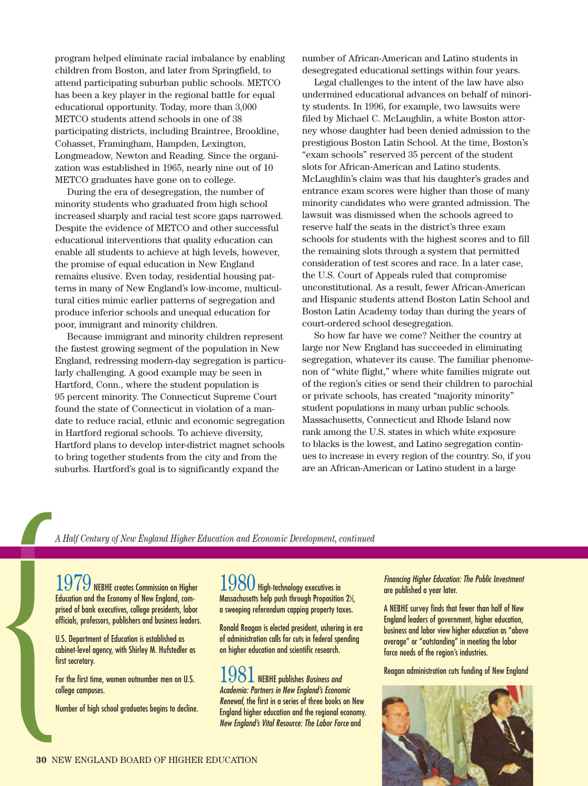program helped eliminate racial imbalance by enabling children from Boston, and later from Springfield, to attend participating suburban public schools. METCO has been a key player in the regional battle for equal educational opportunity. Today, more than 3,000 METCO students attend schools in one of 38 participating districts, including Braintree, Brookline, Cohasset, Framingham, Hampden, Lexington, Longmeadow, Newton and Reading. Since the organization was established in 1965, nearly nine out of 10 METCO graduates have gone on to college.

During the era of desegregation, the number of minority students who graduated from high school increased sharply and racial test score gaps narrowed. Despite the evidence of METCO and other successful educational interventions that quality education can enable all students to achieve at high levels, however, the promise of equal education in New England remains elusive. Even today, residential housing patterns in many of New England's low-income, multicultural cities mimic earlier patterns of segregation and produce inferior schools and unequal education for poor, immigrant and minority children.

Because immigrant and minority children represent the fastest growing segment of the population in New England, redressing modern-day segregation is particularly challenging. A good example may be seen in Hartford, Conn., where the student population is 95 percent minority. The Connecticut Supreme Court found the state of Connecticut in violation of a mandate to reduce racial, ethnic and economic segregation in Hartford regional schools. To achieve diversity, Hartford plans to develop inter-district magnet schools to bring together students from the city and from the suburbs. Hartford's goal is to significantly expand the

number of African-American and Latino students in desegregated educational settings within four years.

Legal challenges to the intent of the law have also undermined educational advances on behalf of minority students. In 1996, for example, two lawsuits were filed by Michael C. McLaughlin, a white Boston attorney whose daughter had been denied admission to the prestigious Boston Latin School. At the time, Boston's "exam schools" reserved 35 percent of the student slots for African-American and Latino students. McLaughlin's claim was that his daughter's grades and entrance exam scores were higher than those of many minority candidates who were granted admission. The lawsuit was dismissed when the schools agreed to reserve half the seats in the district's three exam schools for students with the highest scores and to fill the remaining slots through a system that permitted consideration of test scores and race. In a later case, the U.S. Court of Appeals ruled that compromise unconstitutional. As a result, fewer African-American and Hispanic students attend Boston Latin School and Boston Latin Academy today than during the years of court-ordered school desegregation.

So how far have we come? Neither the country at large nor New England has succeeded in eliminating segregation, whatever its cause. The familiar phenomenon of "white flight," where white families migrate out of the region's cities or send their children to parochial or private schools, has created "majority minority" student populations in many urban public schools. Massachusetts, Connecticut and Rhode Island now rank among the U.S. states in which white exposure to blacks is the lowest, and Latino segregation continues to increase in every region of the country. So, if you are an African-American or Latino student in a large

1979 NEBHE creates Commission on Higher Education and the Economy of New England, comprised of bank executives, college presidents, labor officials, professors, publishers and business leaders.

U.S. Department of Education is established as cabinet-level agency, with Shirley M. Hufstedler as first secretary.

For the first time, women outnumber men on U.S. college campuses.

Number of high school graduates begins to decline.

1980 High-technology executives in Massachusetts help push through Proposition  $2\frac{1}{2}$ , a sweeping referendum capping property taxes.

Ronald Reagan is elected president, ushering in era of administration calls for cuts in federal spending on higher education and scientific research.

1981NEBHE publishes *Business and Academia: Partners in New England's Economic Renewal,* the first in a series of three books on New England higher education and the regional economy. *New England's Vital Resource: The Labor Force* and *A Half Century of New England Higher Education and Economic Development, continued*<br> **A Half Century of New England, com-**<br> **A SOO** High-technology executives in<br>
Figure of bank executives, college presidents, labor<br>
orig

*Financing Higher Education: The Public Investment* are published a year later.

A NEBHE survey finds that fewer than half of New England leaders of government, higher education, business and labor view higher education as "above average" or "outstanding" in meeting the labor force needs of the region's industries.

Reagan administration cuts funding of New England